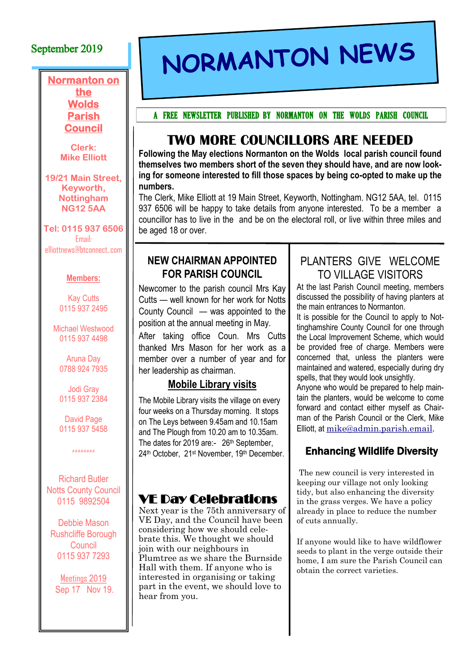## September 2019

**Normanton on** 

#### **the Wolds Parish Council**

**Clerk: Mike Elliott**

**19/21 Main Street, Keyworth, Nottingham NG12 5AA** 

**Tel: 0115 937 6506** Email: elliottnews@btconnect,.com

#### **Members:**

Kay Cutts 0115 937 2495

Michael Westwood 0115 937 4498

Aruna Day 0788 924 7935

Jodi Gray 0115 937 2384

David Page 0115 937 5458

#-#-#-#-#-#-#-#

Richard Butler Notts County Council 0115 9892504

Debbie Mason Rushcliffe Borough **Council** 0115 937 7293

Meetings 2019 Sep 17 Nov 19.

# NORMANTON NEWS

A FREE NEWSLETTER PUBLISHED BY NORMANTON ON THE WOLDS PARISH COUNCIL

# **TWO MORE COUNCILLORS ARE NEEDED**

**Following the May elections Normanton on the Wolds local parish council found themselves two members short of the seven they should have, and are now looking for someone interested to fill those spaces by being co-opted to make up the numbers.**

The Clerk, Mike Elliott at 19 Main Street, Keyworth, Nottingham. NG12 5AA, tel. 0115 937 6506 will be happy to take details from anyone interested. To be a member a councillor has to live in the and be on the electoral roll, or live within three miles and be aged 18 or over.

#### **NEW CHAIRMAN APPOINTED FOR PARISH COUNCIL**

Newcomer to the parish council Mrs Kay Cutts — well known for her work for Notts County Council — was appointed to the position at the annual meeting in May.

After taking office Coun. Mrs Cutts thanked Mrs Mason for her work as a member over a number of year and for her leadership as chairman.

## **Mobile Library visits**

The Mobile Library visits the village on every four weeks on a Thursday morning. It stops on The Leys between 9.45am and 10.15am and The Plough from 10.20 am to 10.35am. The dates for 2019 are:- 26<sup>th</sup> September, 24th October, 21st November, 19th December.

# VE Day Celebrations

Next year is the 75th anniversary of VE Day, and the Council have been considering how we should celebrate this. We thought we should join with our neighbours in Plumtree as we share the Burnside Hall with them. If anyone who is interested in organising or taking part in the event, we should love to hear from you.

# PLANTERS GIVE WELCOME TO VILLAGE VISITORS

At the last Parish Council meeting, members discussed the possibility of having planters at the main entrances to Normanton.

It is possible for the Council to apply to Nottinghamshire County Council for one through the Local Improvement Scheme, which would be provided free of charge. Members were concerned that, unless the planters were maintained and watered, especially during dry spells, that they would look unsightly.

Anyone who would be prepared to help maintain the planters, would be welcome to come forward and contact either myself as Chairman of the Parish Council or the Clerk, Mike Elliott, at [mike@admin.parish.email.](mailto:mike@admin.parish.email)

# Enhancing Wildlife Diversity

The new council is very interested in keeping our village not only looking tidy, but also enhancing the diversity in the grass verges. We have a policy already in place to reduce the number of cuts annually.

If anyone would like to have wildflower seeds to plant in the verge outside their home, I am sure the Parish Council can obtain the correct varieties.